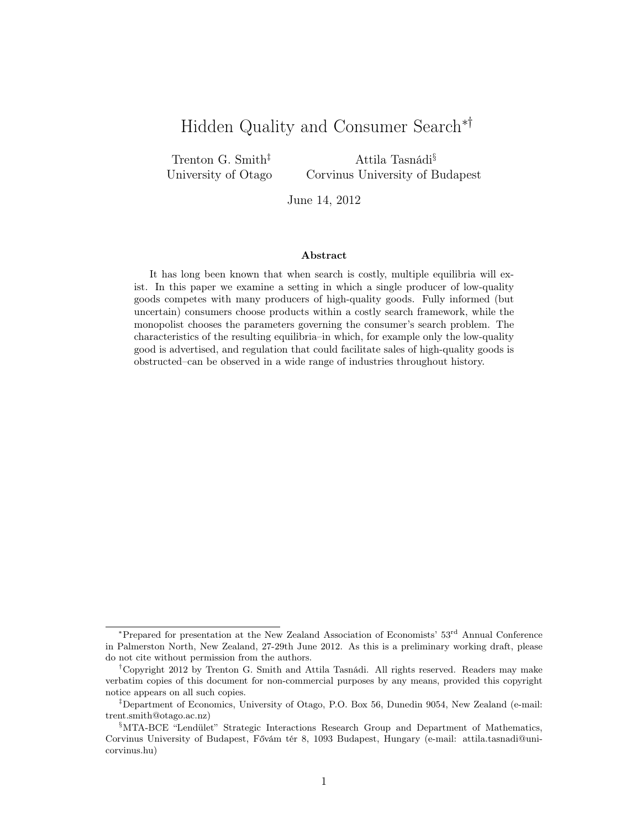# Hidden Quality and Consumer Search∗†

Trenton G. Smith‡ University of Otago

Attila Tasnádi§ Corvinus University of Budapest

June 14, 2012

#### Abstract

It has long been known that when search is costly, multiple equilibria will exist. In this paper we examine a setting in which a single producer of low-quality goods competes with many producers of high-quality goods. Fully informed (but uncertain) consumers choose products within a costly search framework, while the monopolist chooses the parameters governing the consumer's search problem. The characteristics of the resulting equilibria–in which, for example only the low-quality good is advertised, and regulation that could facilitate sales of high-quality goods is obstructed–can be observed in a wide range of industries throughout history.

<sup>∗</sup>Prepared for presentation at the New Zealand Association of Economists' 53rd Annual Conference in Palmerston North, New Zealand, 27-29th June 2012. As this is a preliminary working draft, please do not cite without permission from the authors.

<sup>†</sup>Copyright 2012 by Trenton G. Smith and Attila Tasnádi. All rights reserved. Readers may make verbatim copies of this document for non-commercial purposes by any means, provided this copyright notice appears on all such copies.

<sup>‡</sup>Department of Economics, University of Otago, P.O. Box 56, Dunedin 9054, New Zealand (e-mail: trent.smith@otago.ac.nz)

<sup>§</sup>MTA-BCE "Lendület" Strategic Interactions Research Group and Department of Mathematics, Corvinus University of Budapest, Fővám tér 8, 1093 Budapest, Hungary (e-mail: attila.tasnadi@unicorvinus.hu)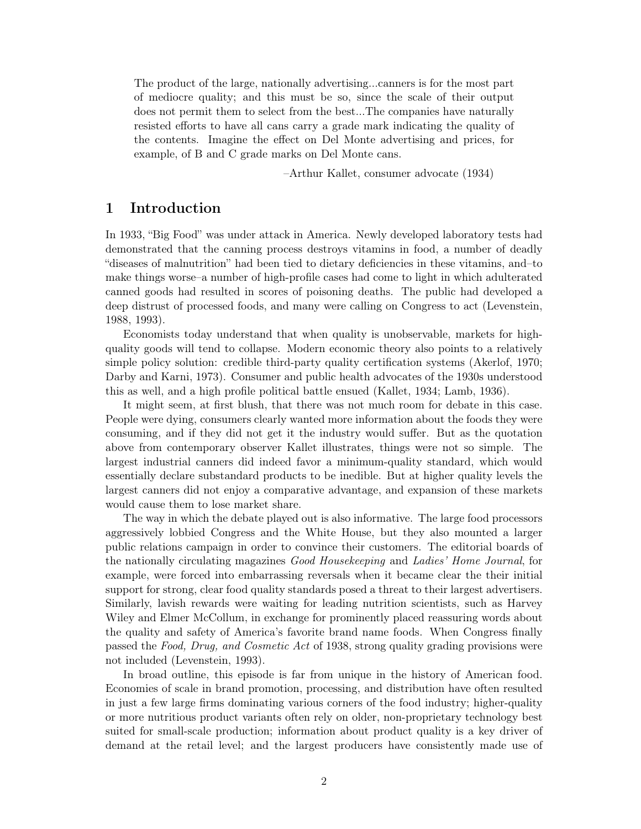The product of the large, nationally advertising...canners is for the most part of mediocre quality; and this must be so, since the scale of their output does not permit them to select from the best...The companies have naturally resisted efforts to have all cans carry a grade mark indicating the quality of the contents. Imagine the effect on Del Monte advertising and prices, for example, of B and C grade marks on Del Monte cans.

–Arthur Kallet, consumer advocate (1934)

# 1 Introduction

In 1933, "Big Food" was under attack in America. Newly developed laboratory tests had demonstrated that the canning process destroys vitamins in food, a number of deadly "diseases of malnutrition" had been tied to dietary deficiencies in these vitamins, and–to make things worse–a number of high-profile cases had come to light in which adulterated canned goods had resulted in scores of poisoning deaths. The public had developed a deep distrust of processed foods, and many were calling on Congress to act (Levenstein, 1988, 1993).

Economists today understand that when quality is unobservable, markets for highquality goods will tend to collapse. Modern economic theory also points to a relatively simple policy solution: credible third-party quality certification systems (Akerlof, 1970; Darby and Karni, 1973). Consumer and public health advocates of the 1930s understood this as well, and a high profile political battle ensued (Kallet, 1934; Lamb, 1936).

It might seem, at first blush, that there was not much room for debate in this case. People were dying, consumers clearly wanted more information about the foods they were consuming, and if they did not get it the industry would suffer. But as the quotation above from contemporary observer Kallet illustrates, things were not so simple. The largest industrial canners did indeed favor a minimum-quality standard, which would essentially declare substandard products to be inedible. But at higher quality levels the largest canners did not enjoy a comparative advantage, and expansion of these markets would cause them to lose market share.

The way in which the debate played out is also informative. The large food processors aggressively lobbied Congress and the White House, but they also mounted a larger public relations campaign in order to convince their customers. The editorial boards of the nationally circulating magazines Good Housekeeping and Ladies' Home Journal, for example, were forced into embarrassing reversals when it became clear the their initial support for strong, clear food quality standards posed a threat to their largest advertisers. Similarly, lavish rewards were waiting for leading nutrition scientists, such as Harvey Wiley and Elmer McCollum, in exchange for prominently placed reassuring words about the quality and safety of America's favorite brand name foods. When Congress finally passed the Food, Drug, and Cosmetic Act of 1938, strong quality grading provisions were not included (Levenstein, 1993).

In broad outline, this episode is far from unique in the history of American food. Economies of scale in brand promotion, processing, and distribution have often resulted in just a few large firms dominating various corners of the food industry; higher-quality or more nutritious product variants often rely on older, non-proprietary technology best suited for small-scale production; information about product quality is a key driver of demand at the retail level; and the largest producers have consistently made use of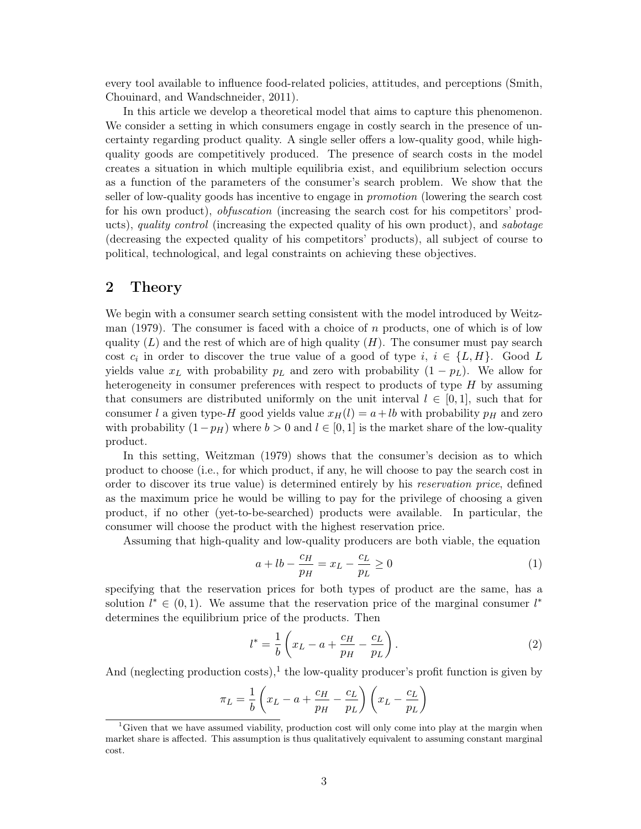every tool available to influence food-related policies, attitudes, and perceptions (Smith, Chouinard, and Wandschneider, 2011).

In this article we develop a theoretical model that aims to capture this phenomenon. We consider a setting in which consumers engage in costly search in the presence of uncertainty regarding product quality. A single seller offers a low-quality good, while highquality goods are competitively produced. The presence of search costs in the model creates a situation in which multiple equilibria exist, and equilibrium selection occurs as a function of the parameters of the consumer's search problem. We show that the seller of low-quality goods has incentive to engage in promotion (lowering the search cost for his own product), *obfuscation* (increasing the search cost for his competitors' products), quality control (increasing the expected quality of his own product), and sabotage (decreasing the expected quality of his competitors' products), all subject of course to political, technological, and legal constraints on achieving these objectives.

# 2 Theory

We begin with a consumer search setting consistent with the model introduced by Weitzman  $(1979)$ . The consumer is faced with a choice of n products, one of which is of low quality  $(L)$  and the rest of which are of high quality  $(H)$ . The consumer must pay search cost  $c_i$  in order to discover the true value of a good of type  $i, i \in \{L, H\}$ . Good L yields value  $x_L$  with probability  $p_L$  and zero with probability  $(1 - p_L)$ . We allow for heterogeneity in consumer preferences with respect to products of type  $H$  by assuming that consumers are distributed uniformly on the unit interval  $l \in [0,1]$ , such that for consumer l a given type-H good yields value  $x_H(l) = a + lb$  with probability  $p<sub>H</sub>$  and zero with probability  $(1-p_H)$  where  $b > 0$  and  $l \in [0,1]$  is the market share of the low-quality product.

In this setting, Weitzman (1979) shows that the consumer's decision as to which product to choose (i.e., for which product, if any, he will choose to pay the search cost in order to discover its true value) is determined entirely by his reservation price, defined as the maximum price he would be willing to pay for the privilege of choosing a given product, if no other (yet-to-be-searched) products were available. In particular, the consumer will choose the product with the highest reservation price.

Assuming that high-quality and low-quality producers are both viable, the equation

$$
a + lb - \frac{c_H}{p_H} = x_L - \frac{c_L}{p_L} \ge 0
$$
\n<sup>(1)</sup>

specifying that the reservation prices for both types of product are the same, has a solution  $l^* \in (0,1)$ . We assume that the reservation price of the marginal consumer  $l^*$ determines the equilibrium price of the products. Then

$$
l^* = \frac{1}{b} \left( x_L - a + \frac{c_H}{p_H} - \frac{c_L}{p_L} \right). \tag{2}
$$

And (neglecting production costs),<sup>1</sup> the low-quality producer's profit function is given by

$$
\pi_L = \frac{1}{b} \left( x_L - a + \frac{c_H}{p_H} - \frac{c_L}{p_L} \right) \left( x_L - \frac{c_L}{p_L} \right)
$$

<sup>&</sup>lt;sup>1</sup>Given that we have assumed viability, production cost will only come into play at the margin when market share is affected. This assumption is thus qualitatively equivalent to assuming constant marginal cost.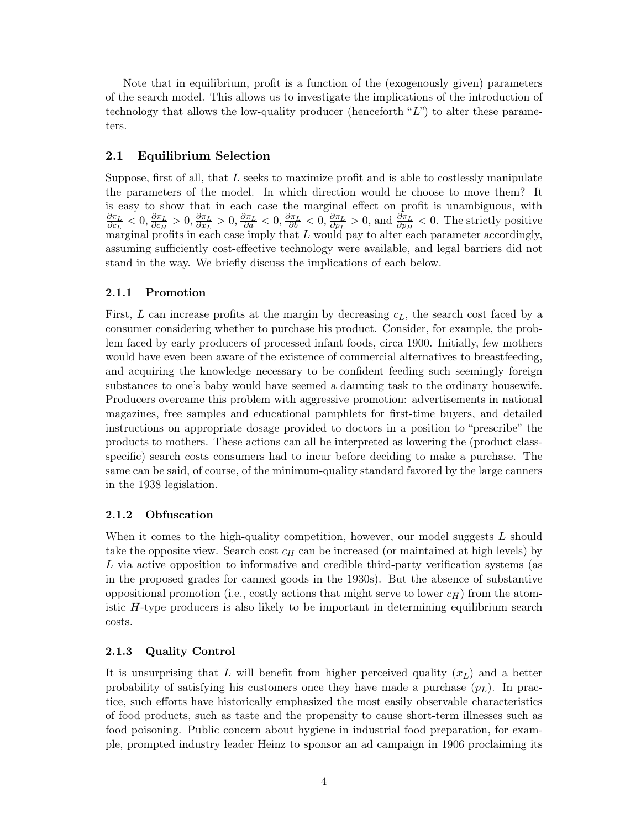Note that in equilibrium, profit is a function of the (exogenously given) parameters of the search model. This allows us to investigate the implications of the introduction of technology that allows the low-quality producer (henceforth " $L$ ") to alter these parameters.

# 2.1 Equilibrium Selection

Suppose, first of all, that L seeks to maximize profit and is able to costlessly manipulate the parameters of the model. In which direction would he choose to move them? It is easy to show that in each case the marginal effect on profit is unambiguous, with  $\partial \pi_L$  $\frac{\partial \pi_L}{\partial c_L} < 0, \frac{\partial \pi_L}{\partial c_H}$  $\frac{\partial \pi_L}{\partial c_H}>0, \frac{\partial \pi_L}{\partial x_L}$  $\frac{\partial \pi_L}{\partial x_L} > 0, \frac{\partial \pi_L}{\partial a} < 0, \frac{\partial \pi_L}{\partial b} < 0, \frac{\partial \pi_L}{\partial p_L}$  $\frac{\partial \pi_L}{\partial p_L} > 0$ , and  $\frac{\partial \pi_L}{\partial p_H} < 0$ . The strictly positive marginal profits in each case imply that  $L$  would pay to alter each parameter accordingly, assuming sufficiently cost-effective technology were available, and legal barriers did not stand in the way. We briefly discuss the implications of each below.

# 2.1.1 Promotion

First,  $L$  can increase profits at the margin by decreasing  $c<sub>L</sub>$ , the search cost faced by a consumer considering whether to purchase his product. Consider, for example, the problem faced by early producers of processed infant foods, circa 1900. Initially, few mothers would have even been aware of the existence of commercial alternatives to breastfeeding, and acquiring the knowledge necessary to be confident feeding such seemingly foreign substances to one's baby would have seemed a daunting task to the ordinary housewife. Producers overcame this problem with aggressive promotion: advertisements in national magazines, free samples and educational pamphlets for first-time buyers, and detailed instructions on appropriate dosage provided to doctors in a position to "prescribe" the products to mothers. These actions can all be interpreted as lowering the (product classspecific) search costs consumers had to incur before deciding to make a purchase. The same can be said, of course, of the minimum-quality standard favored by the large canners in the 1938 legislation.

## 2.1.2 Obfuscation

When it comes to the high-quality competition, however, our model suggests L should take the opposite view. Search cost  $c_H$  can be increased (or maintained at high levels) by L via active opposition to informative and credible third-party verification systems (as in the proposed grades for canned goods in the 1930s). But the absence of substantive oppositional promotion (i.e., costly actions that might serve to lower  $c_H$ ) from the atomistic H-type producers is also likely to be important in determining equilibrium search costs.

#### 2.1.3 Quality Control

It is unsurprising that L will benefit from higher perceived quality  $(x_L)$  and a better probability of satisfying his customers once they have made a purchase  $(p_L)$ . In practice, such efforts have historically emphasized the most easily observable characteristics of food products, such as taste and the propensity to cause short-term illnesses such as food poisoning. Public concern about hygiene in industrial food preparation, for example, prompted industry leader Heinz to sponsor an ad campaign in 1906 proclaiming its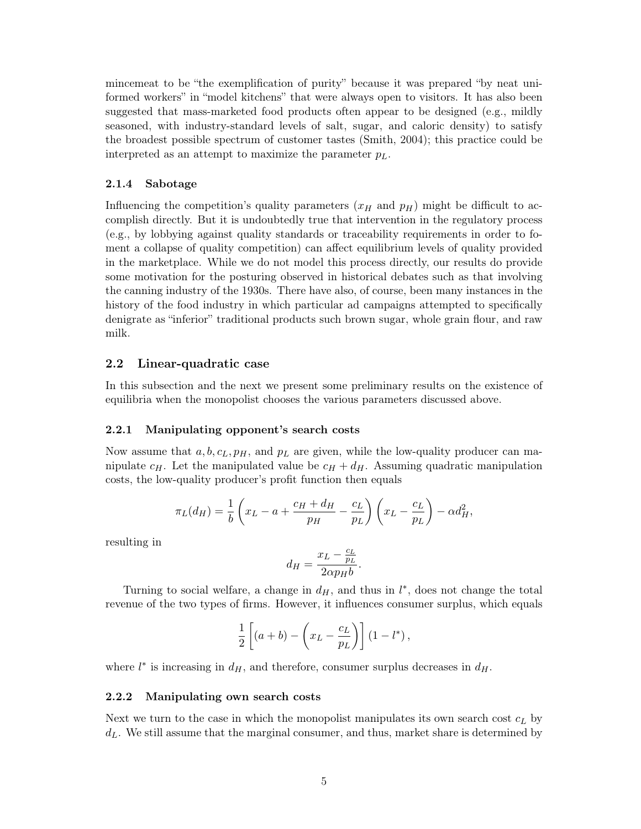mincemeat to be "the exemplification of purity" because it was prepared "by neat uniformed workers" in "model kitchens" that were always open to visitors. It has also been suggested that mass-marketed food products often appear to be designed (e.g., mildly seasoned, with industry-standard levels of salt, sugar, and caloric density) to satisfy the broadest possible spectrum of customer tastes (Smith, 2004); this practice could be interpreted as an attempt to maximize the parameter  $p<sub>L</sub>$ .

#### 2.1.4 Sabotage

Influencing the competition's quality parameters  $(x_H$  and  $p_H$ ) might be difficult to accomplish directly. But it is undoubtedly true that intervention in the regulatory process (e.g., by lobbying against quality standards or traceability requirements in order to foment a collapse of quality competition) can affect equilibrium levels of quality provided in the marketplace. While we do not model this process directly, our results do provide some motivation for the posturing observed in historical debates such as that involving the canning industry of the 1930s. There have also, of course, been many instances in the history of the food industry in which particular ad campaigns attempted to specifically denigrate as "inferior" traditional products such brown sugar, whole grain flour, and raw milk.

## 2.2 Linear-quadratic case

In this subsection and the next we present some preliminary results on the existence of equilibria when the monopolist chooses the various parameters discussed above.

#### 2.2.1 Manipulating opponent's search costs

Now assume that  $a, b, c_L, p_H$ , and  $p_L$  are given, while the low-quality producer can manipulate  $c_H$ . Let the manipulated value be  $c_H + d_H$ . Assuming quadratic manipulation costs, the low-quality producer's profit function then equals

$$
\pi_L(d_H) = \frac{1}{b} \left( x_L - a + \frac{c_H + d_H}{p_H} - \frac{c_L}{p_L} \right) \left( x_L - \frac{c_L}{p_L} \right) - \alpha d_H^2,
$$

resulting in

$$
d_H = \frac{x_L - \frac{c_L}{p_L}}{2 \alpha p_H b}.
$$

Turning to social welfare, a change in  $d_H$ , and thus in  $l^*$ , does not change the total revenue of the two types of firms. However, it influences consumer surplus, which equals

$$
\frac{1}{2}\left[ (a+b) - \left( x_L - \frac{c_L}{p_L} \right) \right] (1 - l^*),
$$

where  $l^*$  is increasing in  $d_H$ , and therefore, consumer surplus decreases in  $d_H$ .

#### 2.2.2 Manipulating own search costs

Next we turn to the case in which the monopolist manipulates its own search cost  $c<sub>L</sub>$  by  $d_L$ . We still assume that the marginal consumer, and thus, market share is determined by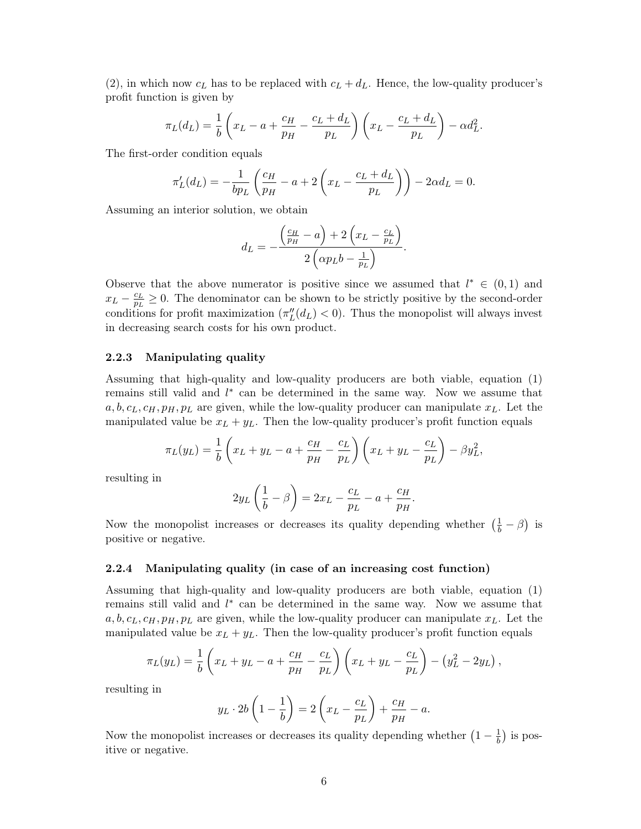(2), in which now  $c<sub>L</sub>$  has to be replaced with  $c<sub>L</sub> + d<sub>L</sub>$ . Hence, the low-quality producer's profit function is given by

$$
\pi_L(d_L) = \frac{1}{b} \left( x_L - a + \frac{c_H}{p_H} - \frac{c_L + d_L}{p_L} \right) \left( x_L - \frac{c_L + d_L}{p_L} \right) - \alpha d_L^2.
$$

The first-order condition equals

$$
\pi_L'(d_L) = -\frac{1}{bp_L} \left( \frac{c_H}{p_H} - a + 2 \left( x_L - \frac{c_L + d_L}{p_L} \right) \right) - 2\alpha d_L = 0.
$$

Assuming an interior solution, we obtain

$$
d_L = -\frac{\left(\frac{c_H}{p_H} - a\right) + 2\left(x_L - \frac{c_L}{p_L}\right)}{2\left(\alpha p_L b - \frac{1}{p_L}\right)}.
$$

Observe that the above numerator is positive since we assumed that  $l^* \in (0,1)$  and  $x_L - \frac{c_L}{p_L}$  $\frac{c_L}{p_L} \geq 0$ . The denominator can be shown to be strictly positive by the second-order conditions for profit maximization  $(\pi''_L(d_L) < 0)$ . Thus the monopolist will always invest in decreasing search costs for his own product.

## 2.2.3 Manipulating quality

Assuming that high-quality and low-quality producers are both viable, equation (1) remains still valid and  $l^*$  can be determined in the same way. Now we assume that  $a, b, c<sub>L</sub>, c<sub>H</sub>, p<sub>H</sub>, p<sub>L</sub>$  are given, while the low-quality producer can manipulate  $x<sub>L</sub>$ . Let the manipulated value be  $x_L + y_L$ . Then the low-quality producer's profit function equals

$$
\pi_L(y_L) = \frac{1}{b} \left( x_L + y_L - a + \frac{c_H}{p_H} - \frac{c_L}{p_L} \right) \left( x_L + y_L - \frac{c_L}{p_L} \right) - \beta y_L^2,
$$

resulting in

$$
2y_L\left(\frac{1}{b} - \beta\right) = 2x_L - \frac{c_L}{p_L} - a + \frac{c_H}{p_H}.
$$

Now the monopolist increases or decreases its quality depending whether  $(\frac{1}{b} - \beta)$  is positive or negative.

## 2.2.4 Manipulating quality (in case of an increasing cost function)

Assuming that high-quality and low-quality producers are both viable, equation (1) remains still valid and  $l^*$  can be determined in the same way. Now we assume that  $a, b, c<sub>L</sub>, c<sub>H</sub>, p<sub>H</sub>, p<sub>L</sub>$  are given, while the low-quality producer can manipulate  $x<sub>L</sub>$ . Let the manipulated value be  $x_L + y_L$ . Then the low-quality producer's profit function equals

$$
\pi_L(y_L) = \frac{1}{b} \left( x_L + y_L - a + \frac{c_H}{p_H} - \frac{c_L}{p_L} \right) \left( x_L + y_L - \frac{c_L}{p_L} \right) - \left( y_L^2 - 2y_L \right),
$$

resulting in

$$
y_L \cdot 2b\left(1 - \frac{1}{b}\right) = 2\left(x_L - \frac{c_L}{p_L}\right) + \frac{c_H}{p_H} - a.
$$

Now the monopolist increases or decreases its quality depending whether  $\left(1-\frac{1}{h}\right)$  $\frac{1}{b}$ ) is positive or negative.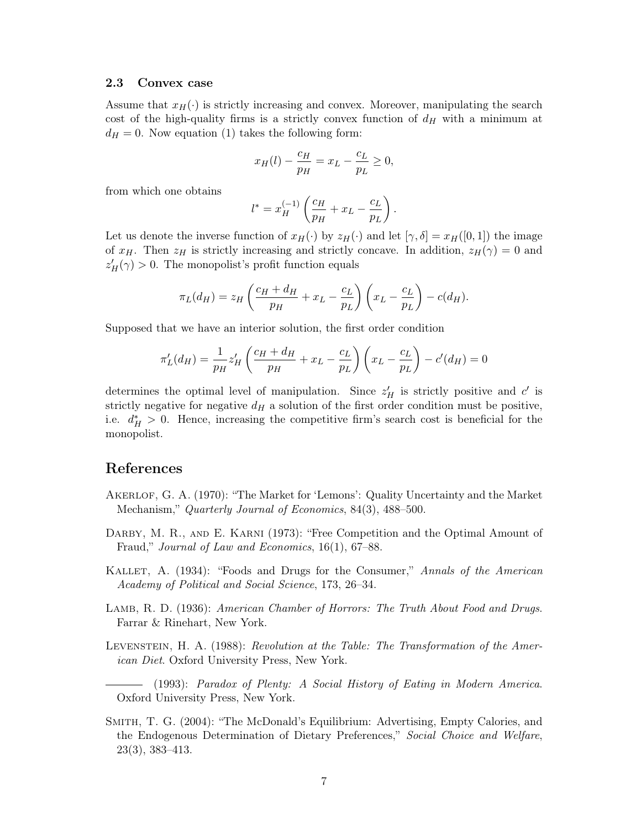#### 2.3 Convex case

Assume that  $x_H(\cdot)$  is strictly increasing and convex. Moreover, manipulating the search cost of the high-quality firms is a strictly convex function of  $d_H$  with a minimum at  $d_H = 0$ . Now equation (1) takes the following form:

$$
x_H(l) - \frac{c_H}{p_H} = x_L - \frac{c_L}{p_L} \ge 0,
$$

from which one obtains

$$
l^* = x_H^{(-1)} \left( \frac{c_H}{p_H} + x_L - \frac{c_L}{p_L} \right).
$$

Let us denote the inverse function of  $x_H(\cdot)$  by  $z_H(\cdot)$  and let  $[\gamma, \delta] = x_H([0, 1])$  the image of  $x_H$ . Then  $z_H$  is strictly increasing and strictly concave. In addition,  $z_H(\gamma) = 0$  and  $z'_{H}(\gamma) > 0$ . The monopolist's profit function equals

$$
\pi_L(d_H) = z_H \left( \frac{c_H + d_H}{p_H} + x_L - \frac{c_L}{p_L} \right) \left( x_L - \frac{c_L}{p_L} \right) - c(d_H).
$$

Supposed that we have an interior solution, the first order condition

$$
\pi_L'(d_H) = \frac{1}{p_H} z'_H \left( \frac{c_H + d_H}{p_H} + x_L - \frac{c_L}{p_L} \right) \left( x_L - \frac{c_L}{p_L} \right) - c'(d_H) = 0
$$

determines the optimal level of manipulation. Since  $z_H'$  is strictly positive and  $c'$  is strictly negative for negative  $d_H$  a solution of the first order condition must be positive, i.e.  $d_H^* > 0$ . Hence, increasing the competitive firm's search cost is beneficial for the monopolist.

# References

- Akerlof, G. A. (1970): "The Market for 'Lemons': Quality Uncertainty and the Market Mechanism," *Quarterly Journal of Economics*, 84(3), 488–500.
- DARBY, M. R., AND E. KARNI (1973): "Free Competition and the Optimal Amount of Fraud," Journal of Law and Economics, 16(1), 67–88.
- Kallet, A. (1934): "Foods and Drugs for the Consumer," Annals of the American Academy of Political and Social Science, 173, 26–34.
- LAMB, R. D. (1936): American Chamber of Horrors: The Truth About Food and Drugs. Farrar & Rinehart, New York.
- Levenstein, H. A. (1988): Revolution at the Table: The Transformation of the American Diet. Oxford University Press, New York.
- (1993): Paradox of Plenty: A Social History of Eating in Modern America. Oxford University Press, New York.
- Smith, T. G. (2004): "The McDonald's Equilibrium: Advertising, Empty Calories, and the Endogenous Determination of Dietary Preferences," Social Choice and Welfare, 23(3), 383–413.